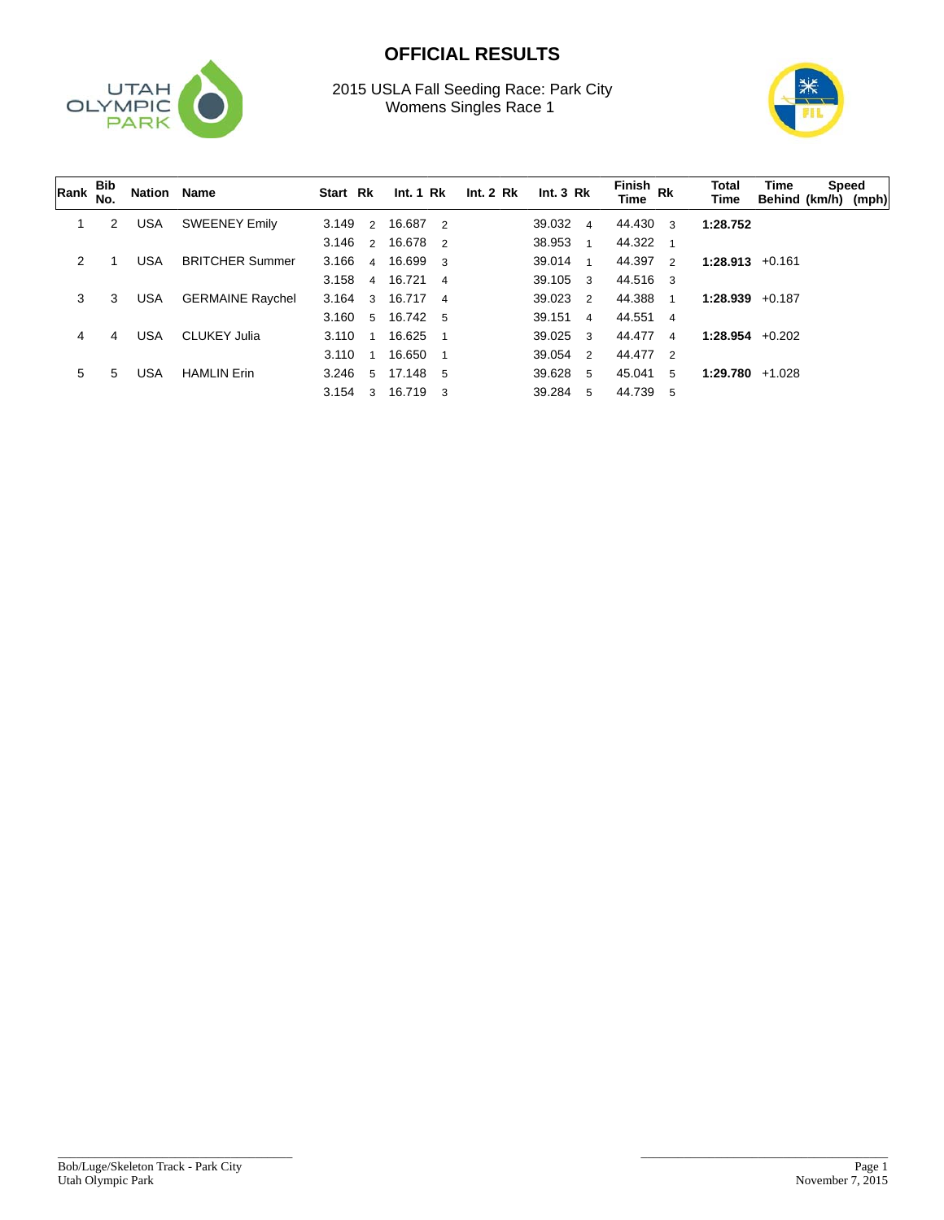

## **OFFICIAL RESULTS**

2015 USLA Fall Seeding Race: Park City Womens Singles Race 1



| Rank | Bib<br>No. | Nation Name |                         | Start Rk |                         | Int.1 Rk   |   | Int. 2 Rk | Int.3 Rk         |                          | Finish Rk<br><b>Time</b> |              | Total<br><b>Time</b> | Time<br>Behind (km/h) (mph) | Speed |
|------|------------|-------------|-------------------------|----------|-------------------------|------------|---|-----------|------------------|--------------------------|--------------------------|--------------|----------------------|-----------------------------|-------|
|      | 2          | <b>USA</b>  | <b>SWEENEY Emily</b>    | 3.149    | 2                       | 16.687 2   |   |           | 39.032 4         |                          | 44.430                   | 3            | 1:28.752             |                             |       |
|      |            |             |                         | 3.146    | 2                       | 16.678 2   |   |           | 38.953           | $\overline{\phantom{0}}$ | 44.322                   | $\mathbf{1}$ |                      |                             |       |
| 2    |            | <b>USA</b>  | <b>BRITCHER Summer</b>  | 3.166    | $\overline{4}$          | 16.699 3   |   |           | 39.014           | $\overline{\mathbf{1}}$  | 44.397                   | 2            | $1:28.913 + 0.161$   |                             |       |
|      |            |             |                         | 3.158    | $\overline{4}$          | 16.721 4   |   |           | $39.105 \quad 3$ |                          | 44.516 3                 |              |                      |                             |       |
| 3    | 3          | <b>USA</b>  | <b>GERMAINE Raychel</b> | 3.164    | $\mathcal{A}$           | 16.717 4   |   |           | 39.023 2         |                          | 44.388                   | 1            | $1:28.939 + 0.187$   |                             |       |
|      |            |             |                         | 3.160    | 5 <sup>5</sup>          | 16.742 5   |   |           | 39.151 4         |                          | 44.551 4                 |              |                      |                             |       |
| 4    | 4          | <b>USA</b>  | <b>CLUKEY Julia</b>     | 3.110    | $\overline{\mathbf{1}}$ | 16.625     |   |           | 39.025 3         |                          | 44.477                   | $\mathbf 4$  | $1:28.954$ +0.202    |                             |       |
|      |            |             |                         | 3.110    | $\overline{1}$          | 16.650     |   |           | 39.054           | $\overline{2}$           | 44.477 2                 |              |                      |                             |       |
| 5    | 5          | <b>USA</b>  | <b>HAMLIN Erin</b>      | 3.246    | -5                      | 17.148     | 5 |           | 39.628           | $-5$                     | 45.041                   | 5            | 1:29.780             | $+1.028$                    |       |
|      |            |             |                         | 3.154    | 3                       | $16.719$ 3 |   |           | 39.284 5         |                          | 44.739                   | 5            |                      |                             |       |

\_\_\_\_\_\_\_\_\_\_\_\_\_\_\_\_\_\_\_\_\_\_\_\_\_\_\_\_\_\_\_\_\_\_\_\_\_\_

\_\_\_\_\_\_\_\_\_\_\_\_\_\_\_\_\_\_\_\_\_\_\_\_\_\_\_\_\_\_\_\_\_\_\_\_\_\_\_\_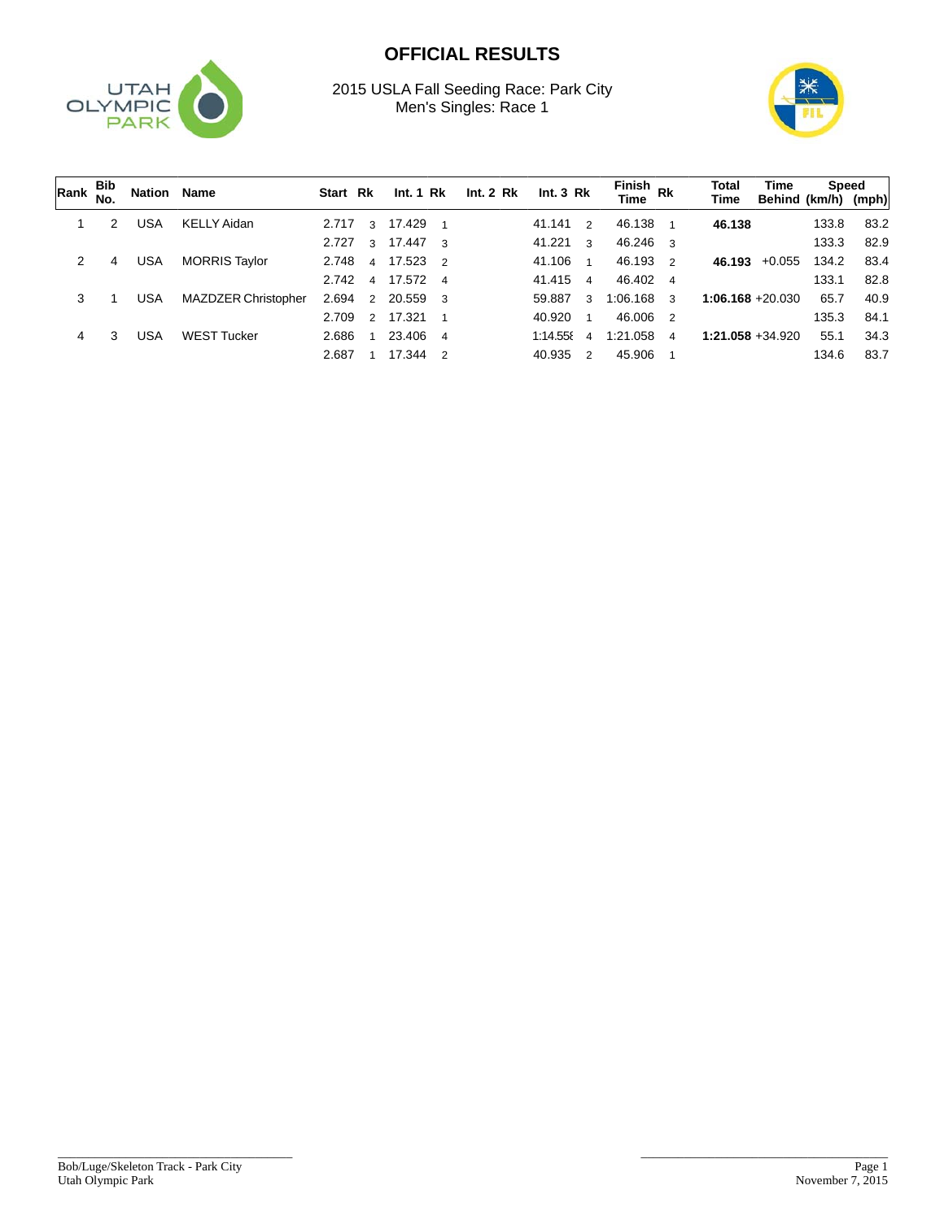

## **OFFICIAL RESULTS**

2015 USLA Fall Seeding Race: Park City Men's Singles: Race 1



| ∣Rank | <b>Bib</b><br>No. | Nation Name |                            | Start Rk |                | Int. 1 Rk |               | Int. 2 Rk | Int.3 Rk |                | Finish<br>Time Rk |                | Total<br>Time       | Time<br>Behind (km/h) | Speed | (mph) |
|-------|-------------------|-------------|----------------------------|----------|----------------|-----------|---------------|-----------|----------|----------------|-------------------|----------------|---------------------|-----------------------|-------|-------|
|       | 2                 | USA         | <b>KELLY Aidan</b>         | 2.717    | 3              | 17.429    |               |           | 41.141   | $\overline{2}$ | 46.138            |                | 46.138              |                       | 133.8 | 83.2  |
|       |                   |             |                            | 2.727    | 3              | 17.447 3  |               |           | 41.221   | - 3            | 46.246 3          |                |                     |                       | 133.3 | 82.9  |
| 2     | 4                 | USA         | <b>MORRIS Taylor</b>       | 2.748    | $\overline{4}$ | 17.523 2  |               |           | 41.106   | $\overline{1}$ | 46.193            | $\mathcal{P}$  | 46.193              | $+0.055$              | 134.2 | 83.4  |
|       |                   |             |                            | 2.742    | $\mathbf{A}$   | 17.572 4  |               |           | 41.415 4 |                | 46.402            | $\overline{4}$ |                     |                       | 133.1 | 82.8  |
| 3     |                   | USA         | <b>MAZDZER Christopher</b> | 2.694    | $\overline{2}$ | 20.559 3  |               |           | 59.887   | 3              | 1:06.168          | 3              | $1:06.168 + 20.030$ |                       | 65.7  | 40.9  |
|       |                   |             |                            | 2.709    | $\mathcal{P}$  | 17.321    |               |           | 40.920   | $\overline{1}$ | 46.006            | $\overline{2}$ |                     |                       | 135.3 | 84.1  |
| 4     | 3                 | USA         | <b>WEST Tucker</b>         | 2.686    | $\overline{ }$ | 23.406 4  |               |           | 1:14.555 | $\mathbf{A}$   | 1:21.058          | 4              | $1:21.058 + 34.920$ |                       | 55.1  | 34.3  |
|       |                   |             |                            | 2.687    |                | 17.344    | $\mathcal{P}$ |           | 40.935   | $\mathcal{P}$  | 45.906            |                |                     |                       | 134.6 | 83.7  |

\_\_\_\_\_\_\_\_\_\_\_\_\_\_\_\_\_\_\_\_\_\_\_\_\_\_\_\_\_\_\_\_\_\_\_\_\_\_

\_\_\_\_\_\_\_\_\_\_\_\_\_\_\_\_\_\_\_\_\_\_\_\_\_\_\_\_\_\_\_\_\_\_\_\_\_\_\_\_